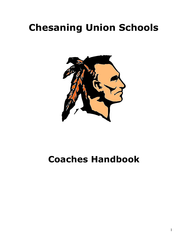# **Chesaning Union Schools**



## **Coaches Handbook**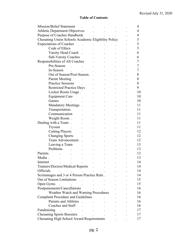#### **Table of Contents**

| <b>Mission/Belief Statement</b>                     |                                 |                            |    |  |  |   |  | 4        |
|-----------------------------------------------------|---------------------------------|----------------------------|----|--|--|---|--|----------|
| <b>Athletic Department Objectives</b>               |                                 |                            |    |  |  |   |  | 4        |
| Purpose of Coaches Handbook                         |                                 |                            |    |  |  |   |  | 4        |
| Chesaning Union Schools Academic Eligibility Policy |                                 |                            | 5  |  |  |   |  |          |
| <b>Expectations of Coaches</b>                      |                                 |                            |    |  |  |   |  | 5        |
|                                                     | Code of Ethics                  |                            |    |  |  |   |  | 5        |
|                                                     | Varsity Head Coach              |                            |    |  |  |   |  | 6        |
|                                                     | <b>Sub-Varsity Coaches</b>      |                            |    |  |  |   |  | 6        |
| Responsibilities of All Coaches                     |                                 |                            |    |  |  | 7 |  |          |
|                                                     | Pre-Season                      |                            |    |  |  |   |  | 7        |
| In-Season                                           |                                 |                            |    |  |  |   |  | 7        |
| Out of Season/Post-Season.                          |                                 |                            |    |  |  |   |  | 8        |
|                                                     | <b>Parent Meeting</b>           |                            |    |  |  |   |  | 8        |
|                                                     | <b>Practice Sessions</b>        |                            |    |  |  |   |  | 8        |
|                                                     | <b>Restricted Practice Days</b> |                            |    |  |  |   |  | 9        |
|                                                     | Locker Room Usage.              |                            |    |  |  |   |  | 10       |
|                                                     | <b>Equipment Care</b>           |                            |    |  |  |   |  | 10       |
| Games                                               |                                 |                            |    |  |  |   |  | 10       |
|                                                     | <b>Mandatory Meetings</b>       |                            |    |  |  |   |  | 11       |
|                                                     | Transportation.                 |                            |    |  |  |   |  | 11       |
|                                                     | Communication                   |                            |    |  |  |   |  | 11       |
|                                                     | Weight Room.                    |                            |    |  |  |   |  | 11       |
| Dealing with a Team.                                |                                 |                            |    |  |  |   |  | 11       |
| <b>Tryouts</b>                                      |                                 |                            |    |  |  |   |  | 11       |
|                                                     |                                 |                            |    |  |  |   |  |          |
|                                                     | <b>Cutting Players</b>          |                            |    |  |  |   |  | 12<br>12 |
|                                                     | <b>Changing Sports</b>          |                            |    |  |  |   |  |          |
|                                                     | Team Advancement.               |                            |    |  |  |   |  | 12       |
|                                                     | Leaving a Team                  |                            |    |  |  |   |  | 13       |
| Problems                                            |                                 |                            |    |  |  |   |  | 13       |
| Parents.                                            |                                 |                            |    |  |  |   |  | 13       |
| Media                                               |                                 |                            |    |  |  |   |  | 13       |
| Internet                                            |                                 | and the state of the state |    |  |  |   |  | 14       |
| Trainers/Doctors/Medical Reports                    |                                 |                            |    |  |  |   |  | 14       |
| Officials                                           |                                 |                            |    |  |  |   |  | 14       |
| Scrimmages and 3 or 4 Person Practice Rule.         |                                 |                            |    |  |  |   |  | 14       |
| Out of Season Limitations                           |                                 |                            |    |  |  |   |  | 15       |
| Open Gyms                                           |                                 |                            |    |  |  |   |  | 15       |
| Postponements/Cancellations                         |                                 |                            |    |  |  |   |  | 16       |
| Weather Watch and Warning Procedures                |                                 |                            |    |  |  |   |  | 16       |
| <b>Complaint Procedure and Guidelines</b>           |                                 |                            | 16 |  |  |   |  |          |
|                                                     | Parents and Athletes            |                            |    |  |  |   |  | 16       |
|                                                     | Coaches and Staff               |                            |    |  |  |   |  | 16       |
| Fundraising                                         |                                 |                            |    |  |  |   |  | 17       |
| Chesaning Sports Boosters .                         |                                 |                            |    |  |  |   |  | 17       |
| <b>Chesaning High School Award Requirements</b>     |                                 |                            |    |  |  |   |  | 17       |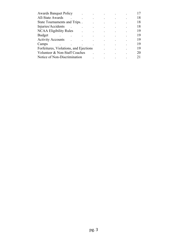| <b>Awards Banquet Policy</b>           |  |  |    |  |    |
|----------------------------------------|--|--|----|--|----|
| All-State Awards                       |  |  |    |  | 18 |
| State Tournaments and Trips            |  |  |    |  | 18 |
| Injuries/Accidents                     |  |  |    |  | 18 |
| <b>NCAA Eligibility Rules</b>          |  |  |    |  | 19 |
| <b>Budget</b>                          |  |  |    |  | 19 |
| <b>Activity Accounts</b>               |  |  |    |  | 19 |
| Camps                                  |  |  |    |  | 19 |
| Forfeitures, Violations, and Ejections |  |  | 19 |  |    |
| Volunteer & Non-Staff Coaches          |  |  | 20 |  |    |
| Notice of Non-Discrimination           |  |  |    |  |    |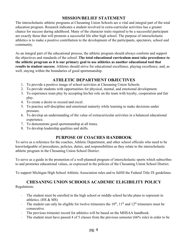## **MISSION/BELIEF STATEMENT**

The interscholastic athletic programs at Chesaning Union Schools are a vital and integral part of the total education program. Research indicates a student involved in extra-curricular activities has a greater chance for success during adulthood. Many of the character traits required to be a successful participant are exactly those that will promote a successful life after high school. The purpose of interscholastic athletics is to make a positive contribution to the development of the participants, spectators, school and community.

As an integral part of the educational process, the athletic program should always conform and support the objectives and standards of the school. **The total educational curriculum must take precedence to the athletic program as it is our primary goal to use athletics as another educational tool that results in student success**. Athletes should strive for educational excellence, playing excellence, and, as well, staying within the boundaries of good sportsmanship.

## **ATHLETIC DEPARTMENT OBJECTIVES**

- 1. To provide a positive image of school activities at Chesaning Union Schools.
- 2. To provide students with opportunities for physical, mental, and emotional development.
- 3. To experience team play by accepting his/her role on the team with loyalty, cooperation and fair play.
- 4. To create a desire to exceed and excel.
- 5. To practice self-discipline and emotional maturity while learning to make decisions under pressure.
- 6. To develop an understanding of the value of extracurricular activities in a balanced educational experience.
- 7. To demonstrate good sportsmanship at all times.
- 8. To develop leadership qualities and skills.

### **PURPOSE OF COACHES HANDBOOK**

To serve as a reference for the coaches, Athletic Department, and other school officials who need to be knowledgeable of procedures, policies, duties, and responsibilities as they relate to the interscholastic athletic program in the Chesaning Union School District.

To serve as a guide in the promotion of a well-planned program of interscholastic sports which subscribes to and promotes educational values, as expressed in the policies of the Chesaning Union School District.

To support Michigan High School Athletic Association rules and to fulfill the Federal Title IX guidelines.

## **CHESANING UNION SCHOOLS ACADEMIC ELIGIBILITY POLICY**

Regulations:

- It The student must be enrolled in the high school or middle school he/she plans to represent in athletics. (HS & MS)
- The student can only be eligible for twelve trimesters the  $10<sup>th</sup>$ ,  $11<sup>th</sup>$  and  $12<sup>th</sup>$  trimesters must be consecutive.
- The previous trimester record for athletics will be based on the MHSAA handbook.
- The student must have passed 4 of 5 classes from the previous semester  $(66\%$  rule) in order to be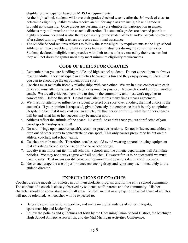eligible for participation based on MHSAA requirements.

- At the **high school**, students will have their grades checked weekly after the 3rd week of class to determine eligibility. Athletes who receive an "**F**" for any class are ineligible until grade is brought up to passing. Once grades are passing, they are eligible for participation in games. Athletes may still practice at the coach's discretion. If a student's grades are deemed poor it is highly recommended and is also the responsibility of the student-athlete and/or parents to schedule after school tutoring with teachers to receive additional assistance.
- The Middle School requires athletes to follow the same eligibility requirements as the high school. Athletes will have weekly eligibility checks from all instructors during the current semester. Students declared ineligible must practice with their teams unless excused by their coaches, but they will not dress for games until they meet minimum eligibility requirements.

## **CODE OF ETHICS FOR COACHES**

- 1. Remember that you are handling middle and high school students. Do not expect them to always react as adults. They participate in athletics because it is fun and they enjoy doing it. Do all that you can to encourage the enjoyment of the sport.
- 2. Coaches must maintain friendly relationships with each other. We are in close contact with each other and must attempt to assist each other as much as possible. No coach should criticize another coach. We are all criticized from time to time in the community and must work together to combat this. Defend the staff. Do not stand silent as this many times means agreement.
- 3. We must not attempt to influence a student to select one sport over another; the final choice is the student's. If your opinion is requested, give it honestly, but emphasize that it is only an opinion. Despite the fact that it may cost you an athlete, tell that person truthfully what his or her chances will be and what his or her success may be another sport.
- 4. Athletes reflect the attitude of the coach. Be careful to exhibit those you want reflected of you. Good sportsmanship is a must!
- 5. Do not infringe upon another coach's season or practice sessions. Do not influence and athlete to drop out of other sports to concentrate on one sport. This only causes pressure to be but on the athlete, coaches, and school teams.
- 6. Coaches are role models. Therefore, coaches should avoid wearing apparel or using equipment that advertises alcohol or the use of tobacco or other drugs.
- 7. Loyalty is an important item in all schools. Schools and the athletic departments will formulate policies. We may not always agree with all policies. However for us to be successful we must have loyalty. That means our differences of opinion must be reconciled in staff meetings.
- 8. Never encourage the use of performance enhancing drugs and report any use immediately to the athletic director.

## **EXPECTATIONS OF COACHES**

Coaches are role models for athletes in our interscholastic program and for the entire school community. The conduct of a coach is closely observed by students, staff, parents and the community. His/her character should be above standards in all areas. Verbal, mental or any type of physical abuse of athletes will not be tolerated. All coaches will be expected to:

- Be positive, enthusiastic, supportive, and maintain high standards of ethics, integrity, sportsmanship and leadership.
- Follow the policies and guidelines set forth by the Chesaning Union School District, the Michigan High School Athletic Association, and the Mid Michigan Activities Conference.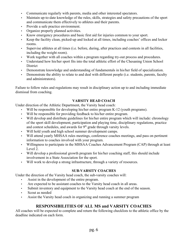- Communicate regularly with parents, media and other interested spectators.
- Maintain up-to-date knowledge of the rules, skills, strategies and safety precautions of the sport and communicate them effectively to athletes and their parents.
- Provide a safe practice environment.
- Organize properly planned activities.
- Know emergency procedures and basic first aid for injuries common to your sport.
- Keep the facility clean, picked-up and locked at all times, including coaches' offices and locker rooms.
- Supervise athletes at all times (i.e. before, during, after practices and contests in all facilities, including the weight room).
- Work together with all coaches within a program regarding try-out process and procedures.
- Understand how his/her sport fits into the total athletic effort of the Chesaning Union School District
- Demonstrate knowledge and understanding of fundamentals in his/her field of specialization.
- Demonstrate the ability to relate to and deal with different people (i.e. students, parents, faculty and administrators).

Failure to follow rules and regulations may result in disciplinary action up to and including immediate dismissal from coaching.

#### **VARSITY HEAD COACH**

Under direction of the Athletic Department, the Varsity head coach:

- Will be responsible for developing his/her entire program K-12 (youth programs).
- Will be responsible for providing feedback to his/her entire program.
- Will develop and distribute guidelines for his/her entire program which will include: chronology of the sport skill development, participation and playing time, disciplinary regulations, practice and contest schedules, and awards for  $9<sup>th</sup>$  grade through varsity levels.
- Will hold youth and high school summer development camps.
- Will attend yearly MHSAA rules meetings, conference coaches meetings, and pass on pertinent information to coaches involved with your program.
- Willingness to participate in the MHSAA Coaches Advancement Program (CAP) through at least Level 2.
- Will develop a professional growth program for his/her coaching staff, this should include involvement in a State Association for the sport.
- Will work to develop a strong infrastructure, through a variety of resources.

#### **SUB-VARSITY COACHES**

Under the direction of the Varsity head coach, the sub-varsity coaches will:

- Assist in the development of the entire program.
- Are expected to be assistant coaches to the Varsity head coach in all areas.
- Submit inventory and equipment to the Varsity head coach at the end of the season.
- Scout as needed
- Assist the Varsity head coach in organizing and running a summer program

## **RESPONSIBILITIES OF ALL MS and VARSITY COACHES**

All coaches will be expected to complete and return the following checklists to the athletic office by the deadline indicated on each form.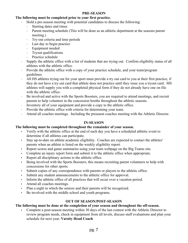#### **PRE-SEASON**

#### **The following must be completed prior to your first practice.**

- Hold a pre-season meeting with potential candidates to discuss the following:
	- Starting dates and times
	- Parent meeting schedule (This will be done as an athletic department at the seasons parent meeting.)
	- Try-out criteria and time periods
	- Last day to begin practice
	- Equipment needed
	- Tryout qualifications
	- · Practice schedule
- Supply the athletic office with a list of students that are trying out. Confirm eligibility status of all athletes with the athletic office.
- Provide the athletic office with a copy of your practice schedule, and your team/program guidelines.
- All HS athletes trying out for your sport must provide a try out card to you at their first practice, if they do not have a try out card that athlete does not practice until they issue you a tryout card. MS athletes will supply you with a completed physical form if they do not already have one on file with the athletic office.
- Exercise involved and active with the Sports Boosters, you are required to attend meetings, and recruit parents to help volunteer in the concession booths throughout the athletic seasons.
- Inventory all of your equipment and provide a copy to the athletic office.
- Provide the athletic office with criteria for determining your team.
- Attend all coaches meetings. Including the preseaon coaches meeting with the Athletic Director.

#### **IN-SEASON**

#### **The following must be completed throughout the remainder of your season.**

- Verify with the athletic office at the end of each day you have a scheduled athletic event to determine if all athletes can participate.
- Stay up-to-date on athlete academic eligibility. Coaches are expected to contact the athletes' parents when an athlete is listed on the weekly eligibility report.
- Report scores and game summaries using your team webpage on the Big Teams site.
- Complete an injury report form and submit it to the athletic office when appropriate.
- Report all disciplinary actions to the athletic office.
- Being involved with the Sports Boosters, this means recruiting parent volunteers to help with concessions for other sports.
- Submit copies of any correspondence with parents or players to the athletic office.
- Submit any student announcements to the athletic office for approval.
- Inform the athletic office of all practices that will occur over a vacation period.
- Attend all coaches meetings.
- Plan a night in which the seniors and their parents will be recognized.
- Be involved with the middle school and youth programs.

#### **OUT OF SEASON/POST-SEASON**

#### **The following must be done at the completion of your season and throughout the off-season.**

• Complete a post-season meeting within 30 days of the last contest with the Athletic Director to review program needs, check in equipment from all levels, discuss staff evaluations and plan your schedule for next year. **Varsity Head Coach**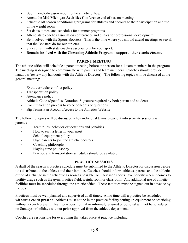- Submit end-of-season report to the athletic office.
- Attend the **Mid Michigan Activities Conference** end of season meeting.
- Schedule off season conditioning programs for athletes and encourage their participation and use of the weight room.
- Set dates, times, and schedules for summer programs.
- Attend state coaches association conferences and clinics for professional development.
- Be involved with the Sports Boosters. This is the time where you should attend meetings to see all that the Boosters do for our athletes.
- Stay current with state coaches associations for your sport.
- **Remain involved with the Chesaning Athletic Program support other coaches/teams**.

#### **PARENT MEETING**

The athletic office will schedule a parent meeting before the season for all team members in the program. The meeting is designed to communicate with parents and team members. Coaches should provide handouts (review any handouts with the Athletic Director). The following topics will be discussed at the general meeting:

- **Extra-curricular conflict policy**
- · Transportation policy
- Attendance policy
- Athletic Code (Specifics, Duration, Signature required by both parent and student)
- Communication process to voice concerns or questions
- **Big Teams Fan Account/Access to the Athletics Website**

The following topics will be discussed when individual teams break out into separate sessions with parents:

- Team rules, behavior expectations and penalties
- How to earn a letter in your sport
- · School equipment policy
- Urge parents to join the athletic boosters
- Coaching philosophy
- · Playing time philosophy
- · Practice and transportation schedules should be available

#### **PRACTICE SESSIONS**

A draft of the season's practice schedule must be submitted to the Athletic Director for discussion before it is distributed to the athletes and their families. Coaches should inform athletes, parents and the athletic office of a change in the schedule as soon as possible. All in-season sports have priority when it comes to facility usage such as the gym, practice field, weight room or classroom. Any additional use of athletic facilities must be scheduled through the athletic office. These facilities must be signed out in advance by the coach.

Practices must be well planned and supervised at all times. At no time will a practice be scheduled **without a coach present**. Athletes must not be in the practice facility setting up equipment or practicing without a coach present. Team practices, formal or informal, required or optional will not be scheduled on Sundays or holidays without **prior** approval from the athletic department.

Coaches are responsible for everything that takes place at practice including: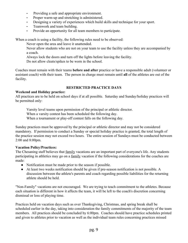- Providing a safe and appropriate environment.
- Proper warm-up and stretching is administered.
- Designing a variety of experiences which build skills and technique for your sport.
- Teamwork and team building.
- Provide an opportunity for all team members to participate.

When a coach is using a facility, the following rules need to be observed:

Never open the area and leave it unattended.

Never allow students who are not on your team to use the facility unless they are accompanied by a coach.

Always lock the doors and turn off the lights before leaving the facility.

Do not allow cleats/spikes to be worn in the school.

Coaches must remain with their teams **before and after** practice or have a responsible adult (volunteer or assistant coach) with their team. The person in charge must remain until **all** of the athletes are out of the facility.

#### **RESTRICTED PRACTICE DAYS**

#### **Weekend and Holiday practice:**

All practices are to be held on school days if at all possible. Saturday and Sunday/holiday practices will be permitted only:

Varsity level teams upon permission of the principal or athletic director. When a varsity contest has been scheduled the following day. When a tournament or play-off contest falls on the following day.

Sunday practices must be approved by the principal or athletic director and may not be considered mandatory. If permission to conduct a Sunday or special holiday practice is granted, the total length of the practice session may not exceed two hours. The entire session of Sundays must be conducted between 2:00 and 8:00pm.

#### **Vacation Policy/Practices:**

The Chesaning staff believes that family vacations are an important part of everyone's life. Any students participating in athletics may go on a family vacation if the following considerations for the coaches are made:

- Notification must be made prior to the season if possible.
- At least two weeks notification should be given if pre-season notification is not possible. A discussion between the athlete's parents and coach regarding possible liabilities for the returning athlete should be held.

"Non-Family" vacations are not encouraged. We are trying to teach commitment to the athletes. Because each situation is different in how it affects the team, it will be left to the coach's discretion concerning dismissal or loss of playing time.

Practices held on vacation days such as over Thanksgiving, Christmas, and spring break shall be scheduled earlier in the day, taking into consideration the family commitments of the majority of the team members. All practices should be concluded by 6:00pm. Coaches should have practice schedules printed and given to athletes prior to vacation as well as the individual team rules concerning practices missed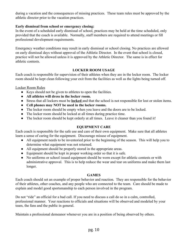during a vacation and the consequences of missing practices. These team rules must be approved by the athletic director prior to the vacation practices.

#### **Early dismissal from school or emergency closing:**

In the event of a scheduled early dismissal of school, practices may be held at the time scheduled, only provided that the coach is available. Normally, staff members are required to attend meetings or fill professional development requirements.

Emergency weather conditions may result in early dismissal or school closing. No practices are allowed on early dismissal days without approval of the Athletic Director. In the event that school is closed, practice will not be allowed unless it is approved by the Athletic Director. The same is in effect for athletic contests.

#### **LOCKER ROOM USAGE**

Each coach is responsible for supervision of their athletes when they are in the locker room. The locker room should be kept clean following your exit from the facilities as well as the lights being turned off.

Locker Room Rules

- Keys should not be given to athletes to open the facilities.
- **● All athletes will dress in the locker room.**
- Stress that all lockers must be **locked** and that the school is not responsible for lost or stolen items.
- **● Cell phones may NOT be used in the locker rooms.**
- The locker room should be empty when you leave and the doors are to be locked.
- The locker room should be locked at all times during practice time.
- The locker room should be kept orderly at all times. Leave it cleaner than you found it!

#### **EQUIPMENT CARE**

Each coach is responsible for the safe use and care of their own equipment. Make sure that all athletes learn a sense of caring for the equipment. Discourage misuse of equipment.

- All equipment needs to be inventoried prior to the beginning of the season. This will help you to determine what equipment was not returned.
- All equipment should be properly stored in the appropriate areas.
- Equipment should be kept in proper working order so that it is safe.
- No uniforms or school issued equipment should be worn except for athletic contests or with administrative approval. This is to help reduce the wear and tear on uniforms and make them last longer.

#### **GAMES**

Each coach should set an example of proper behavior and reaction. They are responsible for the behavior of their athletes, other coaches, and any people who are connected to the team. Care should be made to explain and model good sportsmanship to each person involved in the program.

Do not "ride" an official for a bad call. If you need to discuss a call do so in a calm, controlled, professional manner. Your reactions to officials and situations will be observed and modeled by your team, the fans and the public in general.

Maintain a professional demeanor whenever you are in a position of being observed by others.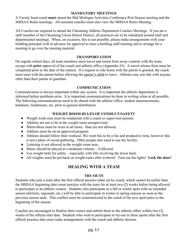#### **MANDATORY MEETINGS**

A Varsity head coach **must** attend the Mid Michigan Activities Conference Post Season meeting and the MHSAA Rules meetings. All assistant coaches must also view the MHSAA Rules Meeting.

All Coaches are required to attend the Chesaning Athletic Department Coaches Meetings. If you are a staff member of the Chesaning Union School District, all practices are to be scheduled around staff and departmental meetings. When, on occasion, this is not possible, please make arrangements with your building principal well in advance for approval to miss a building staff meeting and to arrange for a meeting to go over the meeting material.

#### **TRANSPORTATION**

On regular school days, all team members must travel and return from away contests with the team, except with **prior** approval of the coach and athletic office (Appendix #5). A travel release form must be completed prior to the date of the contest. If a request to ride home with the parent is granted, the coach must meet with the parent before allowing the parent's child to leave. Athletes may not ride with anyone other than their parent or guardian.

#### **COMMUNICATION**

Communication is always important within any system. It is important the athletic department is informed before problems arise. It is important communications be done in writing when at all possible. The following communications need to be shared with the athletic office: student announcements, handouts, fundraisers, etc. prior to general distribution.

#### **WEIGHT ROOM RULES OF CONDUCT/SAFETY**

- Weight work-outs must be conducted with a coach or supervisor present.
- Athletes are not to be in the weight room unsupervised.
- Shirts/shoes must be worn at all times. Hats are not allowed.
- Athletes must be on an approved program.
- Athletes should follow their workout. We want this to be a fun and productive time, however this is not a place of social gathering. Other people also need to use the facility.
- Loitering is not allowed in the weight room area.
- Music should be played at a moderate volume if allowed.
- Use weight belts for safety especially with lifts involving the lower back.
- All weights must be put back on weight racks after workout! Turn out the lights! **Lock the door!**

## **DEALING WITH A TEAM**

#### **TRY-OUTS**

Students who join a team after the first official practice (date set by coach, which cannot be earlier than the MHSAA beginning date) must practice with the team for at least two (2) weeks before being allowed to participate in an athletic contest. Students who participate in a fall or winter sport with an extended season (districts, regionals, etc.) will be able to participate in winter or spring seasons as soon as the previous season ends. This conflict must be communicated to the coach of the new sport prior to the beginning of the season.

Coaches are encouraged to finalize their rosters and submit them to the athletic office within two (2) weeks of the official start date. Students who wish to participate or try-out in these sports after the first official practice date must make arrangements with the coach and athletic director.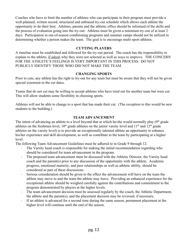Coaches who have to limit the number of athletes who can participate in their program must provide a well-planned, written record, structured and unbiased try-out schedule which allows each athlete the opportunity to do their best. Athletes, parents and the athletic office should be informed of the skills and the process of evaluation going into the try-out. Athletes must be given a minimum try-out of at least 2 days. Participation in out-of-season conditioning programs and summer camps should not be utilized in determining whether a person makes the team. The goal is to encourage multi-sport athletes.

#### **CUTTING PLAYERS**

A timeline must be established and followed for the try-out period. The coach has the responsibility to explain to the athlete, if asked, why they were not selected as well as ways to improve. THE CONCERN FOR THE ATHLETE'S FEELINGS IS VERY IMPORTANT IN THIS PROCESS. DO NOT PUBLICLY IDENTIFY THOSE WHO DID NOT MAKE THE TEAM.

#### **CHANGING SPORTS**

Prior to cuts, any athlete has the right to try-out for any team but must be aware that they will not be given special extension to the cut dates.

Teams that do not cut may be willing to accept athletes who have tried out for another team but were cut. This will allow students some flexibility in choosing sports.

Athletes will not be able to change to a sport that has made their cut. (The exception to this would be new students to the building.)

#### **TEAM ADVANCEMENT**

The intent of advancing an athlete to a level beyond that at which he/she would normally play  $(9<sup>th</sup>$  grade athletes on the freshmen level,  $10<sup>th</sup>$  grade athletes on the junior varsity level and  $11<sup>th</sup>$  and  $12<sup>th</sup>$  grade athletes on the varsity level) is to provide an exceptionally talented athlete an opportunity to enhance his/her experience and skill development, as well as contribute to the team by participating at a higher level.

The following Team Advancement Guidelines must be adhered to in Grade 9 through 12:

- The Varsity head coach is responsible for making the initial recommendation regarding who should be considered for team advancement in the program.
- The proposed team advancement must be discussed with the Athletic Director, the Varsity head coach and the parent(s) prior to any discussion of the opportunity with the athlete. Academic progress, emotional maturity, and peer relationships as well as athletic ability, should be considered as part of these discussions.
- Serious consideration should be given to the effect the advancement will have on the team the athlete may move to and the team the athlete may leave. Providing an enhanced experience for the exceptional athlete should be weighed carefully against the contributions and commitment to the program demonstrated by players at the higher levels.
- The team advancement decision must be assessed regularly by the coach, the Athletic Department, the athlete and the parent(s), and the placement decision may be reversed, if necessary.
- If an athlete is advanced for a second time during the same season, permanent placement at the higher level will continue until the end of the season.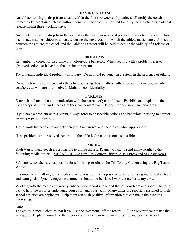#### **LEAVING A TEAM**

An athlete desiring to drop from a team within the first two weeks of practice shall notify the coach immediately to obtain a release without penalty. The coach is required to notify the athletic office of said release within three working days.

An athlete desiring to drop from the team after the first two weeks of practice or after team selection has been made may be subject to a penalty during the next season in which the athlete participates. A meeting between the athlete, the coach and the Athletic Director will be held to decide the validity of a release or penalty.

#### **PROBLEMS**

Remember to correct or discipline only observable behavior. When dealing with a problem refer to observed actions or behaviors that are inappropriate.

Try to handle individual problems in private. Do not hold personal discussions in the presence of others.

Do not betray the confidence of others by discussing those matters with other team members, parents, coaches, etc. who are not involved. Maintain confidentiality.

#### **PARENTS**

Establish and maintain communication with the parents of your athletes. Establish and explain to them the appropriate times and places that they can contact you. Be open to their input and concerns.

If you have a problem with a parent, always refer to observable actions and behaviors in trying to correct an inappropriate situation.

Try to work the problems out between you, the parents, and the athlete when appropriate.

If the problem is not resolved, report it to the athletic director as soon as possible.

#### **MEDIA**

Each Varsity head coach is responsible to utilize the Big Teams website to send game results to the following media outlets: (MHSAA, M-Live.com, Tri-County Citizen, Argus Press and Saginaw News).

Sub-varsity coaches are responsible for submitting results to the Tri-County Citizen using the Big Teams Website.

It is important if talking to the media to keep your comments positive when discussing individual athletes and team goals. Specific negative comments should not be shared with the media at any time.

Working with the media can greatly enhance our school image and that of your team and sport. Do your best to help the reporter understand your sport and your team. Many times the reporters assigned to high school athletics are beginners. Help them establish positive information that can make their reports interesting.

Note:

The ethics in media dictates that if you use the statement "off the record . . .", the reporter cannot use that as a quote. Explain yourself to the reporter and help them write an interesting and positive report.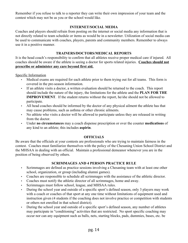Remember if you refuse to talk to a reporter they can write their own impression of your team and the contest which may not be as you or the school would like.

#### **INTERNET/SOCIAL MEDIA**

Coaches and players should refrain from posting on the internet or social media any information that is not directly related to team schedule or items as would be in a newsletter. Utilization of social media can be used to communicate with coaches, players, parents and community members. Remember to always use it in a positive manner.

#### **TRAINERS/DOCTORS/MEDICAL REPORTS**

It is the head coach's responsibility to confirm that all athletes receive proper medical care if injured. All coaches should be aware if the athlete is seeing a doctor for sports related injuries. **Coaches should not prescribe or administer any care beyond first aid.**

Specific Information

- Medical exams are required for each athlete prior to them trying out for all teams. This form is covered in the pre-season information.
- If an athlete visits a doctor, a written evaluation should be returned to the coach. This report should include the nature of the injury, the limitations for the athlete and the **PLAN FOR THE IMPROVEMENT**. If the student returns without the report, he/she should not be allowed to participate.
- All head coaches should be informed by the doctor of any physical ailment the athlete has that may cause problems, such as asthma or other chronic ailments.
- No athlete who visits a doctor will be allowed to participate unless they are released in writing from the doctor.
- Under **no circumstances** may a coach dispense prescription or over the counter **medications** of any kind to an athlete; this includes **aspirin**.

#### **OFFICIALS**

Be aware that the officials at your contests are professionals who are trying to maintain fairness in the contest. Coaches must familiarize themselves with the policy of the Chesaning Union School District and the MHSAA in dealing with an official. Maintain a professional demeanor whenever you are in the position of being observed by others.

#### **SCRIMMAGES AND 4 PERSON PRACTICE RULE**

- Scrimmages are defined as practice sessions involving a Chesaning team with at least one other school, organization, or group (including alumni games).
- Coaches are responsible to schedule all scrimmages with the assistance of the athletic director.
- Coaches must notify the athletic director of all scrimmages, home and away.
- Scrimmages must follow school, league, and MHSAA rules.
- During the school year and outside of a specific sport's defined season, only 3 players may work with a coach or coaches of that sport at any one time without limitations of equipment used and instruction given (4 students if the coaching does not involve practice or competition with students or others not enrolled in that school district).
- During the school year and outside of a specific sport's defined season, any number of athletes may participate in "conditioning" activities that are restricted. No sport specific coaching may occur nor can any equipment such as balls, nets, starting blocks, pads, dummies, bases, etc. be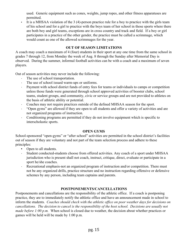used. Generic equipment such as cones, weights, jump ropes, and other fitness apparatuses are permitted.

It is a MHSAA violation of the 3 (4)-person practice rule for a boy to practice with the girls team of his school and for a girl to practice with the boys team of her school in those sports where there are both boy and girl teams, exceptions are in cross country and track and field. If a boy or girl participates in a practice of the other gender, the practice must be called a scrimmage, which would count as one of the allowed scrimmages for the year.

#### **OUT OF SEASON LIMITATIONS**

A coach may coach a maximum of 4 (four) students in their sport at any one time from the same school in grades 7 through 12, from Monday the week of Aug. 8 through the Sunday after Memorial Day is observed. During the summer, informal football activities can be with a coach and a maximum of seven players.

Out of season activities may never include the following:

- The use of school transportation.
- The use of school issued warm-ups or uniforms.
- Payment with school district funds of entry fees for teams or individuals to camps or competition unless those funds were generated through school approved activities of booster clubs, school teams, student groups, and community, civic or service groups and are not provided to athletes on the basis of athletic ability or potential.
- Coaches may not require practices outside of the defined MHSAA season for the sport.
- "Open gyms" are allowed if they are open to all students and offer a variety of activities and are not organized programs of instruction.
- Conditioning programs are permitted if they do not involve equipment which is specific to interscholastic sports.

#### **OPEN GYMS**

School-sponsored "open-gyms" or "after school" activities are permitted in the school district's facilities out of season if they are voluntary and not part of the team selection process and adhere to these principles:

- Open to all students.
- Student conducted-students choose from offered activities. Any coach of a sport under MHSAA jurisdiction who is present shall not coach, instruct, critique, direct, evaluate or participate in a sport he/she coaches.
- Exercise 1. Recreational emphasis-not an organized program of instruction and/or competition. There must not be any organized drills, practice structure and no instruction regarding offensive or defensive schemes by any person, including team captains and parents.

#### **POSTPONEMENTS/CANCELLATIONS**

Postponements and cancellations are the responsibility of the athletic office. If a coach is postponing practice, they are to immediately notify the athletic office and have an announcement made in school to inform the students. *Coaches should check with the athletic office on poor weather days for decisions on cancellations. The decision to cancel is the responsibility of the host school. Decisions are usually not made before 1:00 p.m.* When school is closed due to weather, the decision about whether practices or games will be held will be made by 1:00 p.m.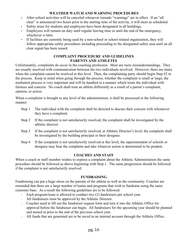#### **WEATHER WATCH AND WARNING PROCEDURES**

- After-school activities will be canceled whenever tornado "warnings" are in effect. If an "all clear" is announced two hours prior to the starting time of the activity, it will meet as scheduled.
- Safety areas for students and employees have been designated in all buildings.
- Employees will remain on duty until regular leaving time or until the end of the emergency, whichever is later.
- If facilities are currently being used by a non-school or school related organization, they will follow appropriate safety procedures including proceeding to the designated safety area until an all clear signal has been issued.

#### **COMPLAINT PROCEDURE AND GUIDELINES PARENTS AND ATHLETES**

Unfortunately, complaints do occur in the coaching profession. Most are mere misunderstandings. They are usually resolved with communication between the two individuals involved. However, there are times when the complaint cannot be resolved at this level. Then, the complaining party should begin Step #2 in the process. Keep in mind when going through the process, whether the complaint is small or large, the mediation process is very important and will be handled in a manner which treats the individual with fairness and concern. No coach shall treat an athlete differently as a result of a parent's complaint, opinion, or action.

When a complaint is brought to any level of the administration, it shall be processed in the following manner:

- Step 1 The individual with the complaint shall be directed to discuss their concern with whomever they have a complaint.
- Step 2 If the complaint is not satisfactorily resolved, the complaint shall be investigated by the athletic director.
- Step 3 If the complaint is not satisfactorily resolved, at Athletic Director's level, the complaint shall be investigated by the building principal or their designee.
- Step 4 If the complaint is not satisfactorily resolved at this level, the superintendent of schools or designee may hear the complaint and take whatever action is determined to be prudent.

#### **COACHES AND STAFF**

When a coach or staff member wishes to express a complaint about the Athletic Administration the same procedure should be followed as above beginning with Step 1. The same progression should be followed if the complaint is not satisfactorily resolved.

#### **FUNDRAISING**

Fundraising can put a huge stress on the parents of the athlete as well as the community. Coaches are reminded that there are a large number of teams and programs that wish to fundraise using the same customer base. As a result the following guidelines are to be followed:

- Each program/team is allowed to conduct two (2) fundraisers per school year.
- All fundraisers must be approved by the Athletic Director.
- Coaches need to fill out the fundraiser request form and turn it into the Athletic Office for approval before the fundraiser can begin. All fundraisers for the upcoming year should be planned and turned in prior to the end of the previous school year.
- All funds that are generated are to be saved in an internal account through the Athletic Office.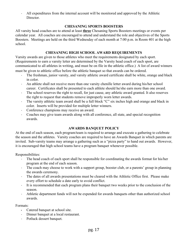In All expenditures from the internal account will be monitored and approved by the Athletic Director.

#### **CHESANING SPORTS BOOSTERS**

All varsity head coaches are to attend at least **three** Chesaning Sports Boosters meetings or events per calendar year. All coaches are encouraged to attend and understand the role and objectives of the Sports Boosters. Meetings are held on the third Wednesday of each month at 7:00 p.m. in Room 401 at the high school.

#### **CHESANING HIGH SCHOOL AWARD REQUIREMENTS**

Varsity awards are given to those athletes who meet the requirements designated by each sport. (Requirements to earn a varsity letter are determined by the Varsity head coach of each sport, are communicated to all athletes in writing, and must be on file in the athletic office.) A list of award winners must be given to athletic office before the athletic banquet so that awards can be ordered.

- The freshman, junior varsity, and varsity athletic award certificate shall be white, orange and black in color.
- An athlete shall not receive more than one varsity chenille letter award during his/her school career. Certificates shall be presented to each athlete should he/she earn more than one award.
- The school reserves the right to recall, for just cause, any athletic award granted. It also reserves the right to request that students remove improperly worn letter awards.
- The varsity athletic team award shall be a full block "C" six inches high and orange and black in color. Inserts will be provided for multiple letter winners.
- Conference champions may receive an award.
- Coaches may give team awards along with all conference, all state, and special recognition awards.

#### **AWARDS BANQUET POLICY**

At the end of each season, each program/team is required to arrange and execute a gathering to celebrate the season and the athletes. Varsity coaches are required to have an Awards Banquet in which parents are invited. Sub-varsity teams may arrange a gathering such as a "pizza party" to hand out awards. However, it is encouraged that high school teams have a program banquet whenever possible.

Responsibilities:

- The head coach of each sport shall be responsible for coordinating the awards format for his/her program at the end of each season.
- The coach may choose to work with a support group, booster club, or a parents' group in planning the awards ceremony.
- The dates of all awards presentations must be cleared with the Athletic Office first. Please make every effort to schedule a date early to avoid conflict.
- It is recommended that each program plans their banquet two weeks prior to the conclusion of the season.
- Athletic department funds will not be expended for awards banquets other than authorized school awards.

Formats:

- Catered banquet at school site.
- Dinner banquet at a local restaurant.
- · Potluck dessert banquet.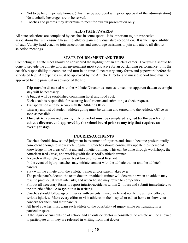- In the held in private homes. (This may be approved with prior approval of the administration)
- No alcoholic beverages are to be served.
- Coaches and parents may determine to meet for awards presentation only.

#### **ALL-STATE AWARDS**

All state selections are completed by coaches in some sports. It is important to join respective associations that will ensure Chesaning athletes gain individual state recognition. It is the responsibility of each Varsity head coach to join associations and encourage assistants to join and attend all-district selection meetings.

#### **STATE TOURNAMENT AND TRIPS**

Competing in a state meet should be considered the highlight of an athlete's career. Everything should be done to provide the athlete with an environment most conducive for an outstanding performance. It is the coach's responsibility to complete and turn in on time all necessary entry forms and paperwork before the scheduled trip. All expenses must be approved by the Athletic Director and missed school time must be approved by the principal in advance of the trip.

- Trip **must** be discussed with the Athletic Director as soon as it becomes apparent that an overnight stay will be necessary.
- A budget will be established containing hotel and food cost.
- Each coach is responsible for securing hotel rooms and submitting a check request.
- Transportation is to be set-up with the Athletic Office.
- Itinerary and list of student-athletes going must be written and turned into the Athletic Office as soon as possible.
- **The district approved overnight trip packet must be completed, signed by the coach and athletic director, and approved by the school board prior to any trip that requires an overnight stay.**

#### **INJURIES/ACCIDENTS**

- Coaches should show sound judgment in treatment of injuries and should become professionally competent enough to show such judgment. Coaches should continually update their personal knowledge in the areas of first aid and athletic training. This can be done through workshops, the American Red Cross, and working with the school's athletic trainer.
- **A coach will not diagnose or treat beyond normal first aid.**
- In the event of injury, coaches may initiate contact with the athletic trainer and the athlete's parents.
- Stay with the athlete until the athletic trainer and/or parent takes over.
- The participant's doctor, the team doctor, or athletic trainer will determine when an athlete may resume practice, at what intensity, and when he/she may return to competition.
- Fill out all necessary forms to report injuries/accidents within 24 hours and submit immediately to the athletic office. **Always put it in writing!**
- Coaches should follow up on injuries with parents immediately and notify the athletic office of serious injuries. Make every effort to visit athletes in the hospital or call at home to show your concern for them and their parents.
- All head coaches must warn each athlete of the possibility of injury while participating in a particular sport.
- If the injury occurs outside of school and an outside doctor is consulted, no athlete will be allowed to participate until they are released in writing from that doctor.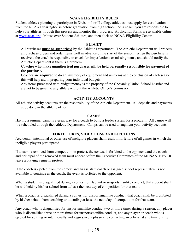#### **NCAA ELIGIBILITY RULES**

Student athletes planning to participate in Division I or II college athletics must apply for certification from the NCAA Clearinghouse before graduation from high school. As a coach, you are responsible to help your athletes through this process and monitor their progress. Application forms are available online at [www.ncaa.org](http://www.ncaa.org/). Mouse over Student-Athletes, and then click on NCAA Eligibility Center.

#### **BUDGET**

- All purchases **must be authorized** by the Athletic Department. The Athletic Department will process all purchase orders and order items well in advance of the start of the season. When the purchase is received, the coach is responsible to check for imperfections or missing items, and should notify the Athletic Department if there is a problem.
- **Coaches who make unauthorized purchases will be held personally responsible for payment of the purchase.**
- Coaches are **required** to do an inventory of equipment and uniforms at the conclusion of each season, this will help aid in preparing your individual budgets.
- Any items purchased with budget money is the property of the Chesaning Union School District and are not to be given to any athlete without the Athletic Office's permission.

#### **ACTIVITY ACCOUNTS**

All athletic activity accounts are the responsibility of the Athletic Department. All deposits and payments must be done in the athletic office.

#### **CAMPS**

Having a summer camp is a great way for a coach to build a feeder system for a program. All camps will be scheduled through the Athletic Department. Camps can be used to augment your activity accounts.

#### **FORFEITURES, VIOLATIONS AND EJECTIONS**

Accidental, intentional or other use of ineligible players shall result in forfeiture of all games in which the ineligible players participated.

If a team is removed from competition in protest, the contest is forfeited to the opponent and the coach and principal of the removed team must appear before the Executive Committee of the MHSAA. NEVER leave a playing venue in protest.

If the coach is ejected from the contest and an assistant coach or assigned school representative is not available to continue as the coach, the event is forfeited to the opponent.

When a student is disqualified during a contest for flagrant or unsportsmanlike conduct, that student shall be withheld by his/her school from at least the next day of competition for that team.

When a coach is disqualified during a contest for unsportsmanlike conduct, that coach shall be prohibited by his/her school from coaching or attending at least the next day of competition for that team.

Any coach who is disqualified for unsportsmanlike conduct two or more times during a season, any player who is disqualified three or more times for unsportsmanlike conduct, and any player or coach who is ejected for spitting or intentionally and aggressively physically contacting an official at any time during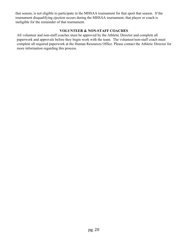that season, is not eligible to participate in the MHSAA tournament for that sport that season. If the tournament disqualifying ejection occurs during the MHSAA tournament, that player or coach is ineligible for the remainder of that tournament.

#### **VOLUNTEER & NON-STAFF COACHES**

All volunteer and non-staff coaches must be approved by the Athletic Director and complete all paperwork and approvals before they begin work with the team. The volunteer/non-staff coach must complete all required paperwork at the Human Resources Office. Please contact the Athletic Director for more information regarding this process.